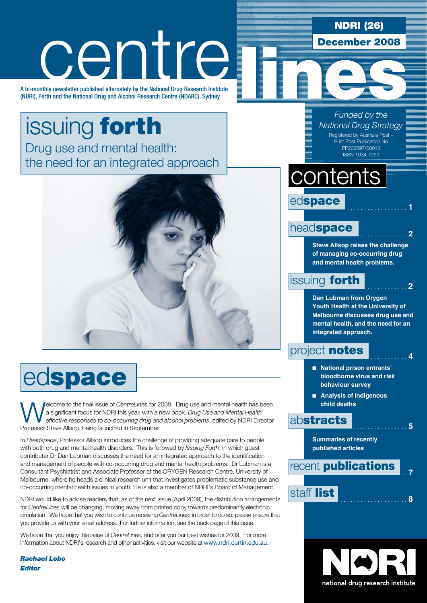# centre

A bi-monthly newsletter published alternately by the National Drug Research Institute (NDRI), Perth and the National Drug and Alcohol Research Centre (NDARC), Sydney

### issuing forth Drug use and mental health: the need for an integrated approach



# edspace

**Welcome to the final issue of** *CentreLines* for 2008. Drug use and mental health has been a significant focus for NDRI this year, with a new book, *Drug Use and Mental Health:*<br> **Expressions** *effective responses to co-o* a significant focus for NDRI this year, with a new book, *Drug Use and Mental Health:*  Professor Steve Allsop, being launched in September.

In *Headspace*, Professor Allsop introduces the challenge of providing adequate care to people with both drug and mental health disorders. This is followed by *Issuing Forth*, in which guest contributer Dr Dan Lubman discusses the need for an integrated approach to the identification and management of people with co-occurring drug and mental health problems. Dr Lubman is a Consultant Psychiatrist and Associate Professor at the ORYGEN Research Centre, University of Melbourne, where he heads a clinical research unit that investigates problematic substance use and co-occurring mental health issues in youth. He is also a member of NDRI's Board of Management.

NDRI would like to advise readers that, as of the next issue (April 2009), the distribution arrangements for *CentreLines* will be changing, moving away from printed copy towards predominantly electronic circulation. We hope that you wish to continue receiving *CentreLines*; in order to do so, please ensure that you provide us with your email address. For further information, see the back page of this issue.

We hope that you enjoy this issue of *CentreLines*, and offer you our best wishes for 2009. For more information about NDRI's research and other activities, visit our website at www.ndri.curtin.edu.au.

*Rachael Lobo Editor*

### *Funded by the National Drug Strategy*

NDRI (26)

December 2008

Registered by Australia Post – Print Post Publication No PP236697/00013 ISSN 1034-7259

### contents

edspace

### headspace

**Steve Allsop raises the challenge of managing co-occurring drug and mental health problems.**

### issuing forth . . **<sup>2</sup>**

**Dan Lubman from Orygen Youth Health at the University of Melbourne discusses drug use and mental health, and the need for an integrated approach.**

### project **notes**

- National prison entrants' **bloodborne virus and risk behaviour survey**
- n **Analysis of Indigenous child deaths**

**abstracts** . . . . . . . . . 5

**Summaries of recently published articles**



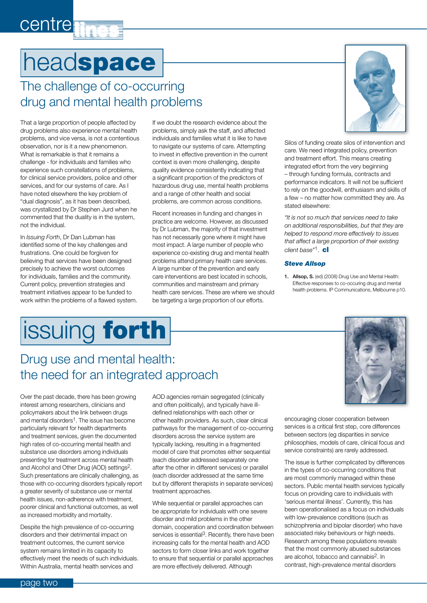# centre **Tracta**

# headspace

### The challenge of co-occurring drug and mental health problems

That a large proportion of people affected by drug problems also experience mental health problems, and vice versa, is not a contentious observation, nor is it a new phenomenon. What is remarkable is that it remains a challenge - for individuals and families who experience such constellations of problems, for clinical service providers, police and other services, and for our systems of care. As I have noted elsewhere the key problem of "dual diagnosis", as it has been described, was crystallized by Dr Stephen Jurd when he commented that the duality is in the system, not the individual.

In *Issuing Forth*, Dr Dan Lubman has identified some of the key challenges and frustrations. One could be forgiven for believing that services have been designed precisely to achieve the worst outcomes for individuals, families and the community. Current policy, prevention strategies and treatment initiatives appear to be funded to work within the problems of a flawed system. If we doubt the research evidence about the problems, simply ask the staff, and affected individuals and families what it is like to have to navigate our systems of care. Attempting to invest in effective prevention in the current context is even more challenging, despite quality evidence consistently indicating that a significant proportion of the predictors of hazardous drug use, mental health problems and a range of other health and social problems, are common across conditions.

Recent increases in funding and changes in practice are welcome. However, as discussed by Dr Lubman, the majority of that investment has not necessarily gone where it might have most impact. A large number of people who experience co-existing drug and mental health problems attend primary health care services. A large number of the prevention and early care interventions are best located in schools, communities and mainstream and primary health care services. These are where we should be targeting a large proportion of our efforts.



Silos of funding create silos of intervention and care. We need integrated policy, prevention and treatment effort. This means creating integrated effort from the very beginning – through funding formula, contracts and performance indicators. It will not be sufficient to rely on the goodwill, enthusiasm and skills of a few – no matter how committed they are. As stated elsewhere:

*"It is not so much that services need to take on additional responsibilities, but that they are helped to respond more effectively to issues that affect a large proportion of their existing client base"*1. cl

### *Steve Allsop*

1. Allsop, S. (ed) (2008) Drug Use and Mental Health: Effective responses to co-occuring drug and mental health problems. IP Communications, Melbourne p10.

# issuing forth

### Drug use and mental health: the need for an integrated approach

Over the past decade, there has been growing interest among researchers, clinicians and policymakers about the link between drugs and mental disorders<sup>1</sup>. The issue has become particularly relevant for health departments and treatment services, given the documented high rates of co-occurring mental health and substance use disorders among individuals presenting for treatment across mental health and Alcohol and Other Drug (AOD) settings2. Such presentations are clinically challenging, as those with co-occurring disorders typically report a greater severity of substance use or mental health issues, non-adherence with treatment, poorer clinical and functional outcomes, as well as increased morbidity and mortality.

Despite the high prevalence of co-occurring disorders and their detrimental impact on treatment outcomes, the current service system remains limited in its capacity to effectively meet the needs of such individuals. Within Australia, mental health services and

AOD agencies remain segregated (clinically and often politically), and typically have illdefined relationships with each other or other health providers. As such, clear clinical pathways for the management of co-occurring disorders across the service system are typically lacking, resulting in a fragmented model of care that promotes either sequential (each disorder addressed separately one after the other in different services) or parallel (each disorder addressed at the same time but by different therapists in separate services) treatment approaches.

While sequential or parallel approaches can be appropriate for individuals with one severe disorder and mild problems in the other domain, cooperation and coordination between services is essential<sup>3</sup>. Recently, there have been increasing calls for the mental health and AOD sectors to form closer links and work together to ensure that sequential or parallel approaches are more effectively delivered. Although



encouraging closer cooperation between services is a critical first step, core differences between sectors (eg disparities in service philosophies, models of care, clinical focus and service constraints) are rarely addressed.

The issue is further complicated by differences in the types of co-occurring conditions that are most commonly managed within these sectors. Public mental health services typically focus on providing care to individuals with 'serious mental illness'. Currently, this has been operationalised as a focus on individuals with low-prevalence conditions (such as schizophrenia and bipolar disorder) who have associated risky behaviours or high needs. Research among these populations reveals that the most commonly abused substances are alcohol, tobacco and cannabis2. In contrast, high-prevalence mental disorders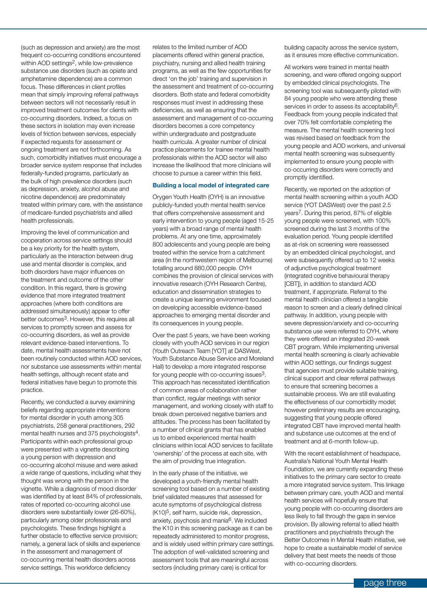(such as depression and anxiety) are the most frequent co-occurring conditions encountered within AOD settings<sup>2</sup>, while low-prevalence substance use disorders (such as opiate and amphetamine dependence) are a common focus. These differences in client profiles mean that simply improving referral pathways between sectors will not necessarily result in improved treatment outcomes for clients with co-occurring disorders. Indeed, a focus on these sectors in isolation may even increase levels of friction between services, especially if expected requests for assessment or ongoing treatment are not forthcoming. As such, comorbidity initiatives must encourage a broader service system response that includes federally-funded programs, particularly as the bulk of high prevalence disorders (such as depression, anxiety, alcohol abuse and nicotine dependence) are predominately treated within primary care, with the assistance of medicare-funded psychiatrists and allied health professionals.

Improving the level of communication and cooperation across service settings should be a key priority for the health system, particularly as the interaction between drug use and mental disorder is complex, and both disorders have major influences on the treatment and outcome of the other condition. In this regard, there is growing evidence that more integrated treatment approaches (where both conditions are addressed simultaneously) appear to offer better outcomes<sup>3</sup>. However, this requires all services to promptly screen and assess for co-occurring disorders, as well as provide relevant evidence-based interventions. To date, mental health assessments have not been routinely conducted within AOD services, nor substance use assessments within mental health settings, although recent state and federal initiatives have begun to promote this practice.

Recently, we conducted a survey examining beliefs regarding appropriate interventions for mental disorder in youth among 305 psychiatrists, 258 general practitioners, 292 mental health nurses and 375 psychologists4. Participants within each professional group were presented with a vignette describing a young person with depression and co-occurring alcohol misuse and were asked a wide range of questions, including what they thought was wrong with the person in the vignette. While a diagnosis of mood disorder was identified by at least 84% of professionals, rates of reported co-occurring alcohol use disorders were substantially lower (26-60%), particularly among older professionals and psychologists. These findings highlight a further obstacle to effective service provision; namely, a general lack of skills and experience in the assessment and management of co-occurring mental health disorders across service settings. This workforce deficiency

relates to the limited number of AOD placements offered within general practice, psychiatry, nursing and allied health training programs, as well as the few opportunities for direct 'on the job' training and supervision in the assessment and treatment of co-occurring disorders. Both state and federal comorbidity responses must invest in addressing these deficiencies, as well as ensuring that the assessment and management of co-occurring disorders becomes a core competency within undergraduate and postgraduate health curricula. A greater number of clinical practice placements for trainee mental health professionals within the AOD sector will also increase the likelihood that more clinicians will choose to pursue a career within this field.

#### **Building a local model of integrated care**

Orygen Youth Health (OYH) is an innovative publicly-funded youth mental health service that offers comprehensive assessment and early intervention to young people (aged 15-25 years) with a broad range of mental health problems. At any one time, approximately 800 adolescents and young people are being treated within the service from a catchment area (in the northwestern region of Melbourne) totalling around 880,000 people. OYH combines the provision of clinical services with innovative research (OYH Research Centre), education and dissemination strategies to create a unique learning environment focused on developing accessible evidence-based approaches to emerging mental disorder and its consequences in young people.

Over the past 5 years, we have been working closely with youth AOD services in our region (Youth Outreach Team [YOT] at DASWest, Youth Substance Abuse Service and Moreland Hall) to develop a more integrated response for young people with co-occurring issues3. This approach has necessitated identification of common areas of collaboration rather than conflict, regular meetings with senior management, and working closely with staff to break down perceived negative barriers and attitudes. The process has been facilitated by a number of clinical grants that has enabled us to embed experienced mental health clinicians within local AOD services to facilitate 'ownership' of the process at each site, with the aim of providing true integration.

In the early phase of the initiative, we developed a youth-friendly mental health screening tool based on a number of existing brief validated measures that assessed for acute symptoms of psychological distress (K10)<sup>5</sup>, self harm, suicide risk, depression, anxiety, psychosis and mania<sup>6</sup>. We included the K10 in this screening package as it can be repeatedly administered to monitor progress, and is widely used within primary care settings. The adoption of well-validated screening and assessment tools that are meaningful across sectors (including primary care) is critical for

building capacity across the service system, as it ensures more effective communication.

All workers were trained in mental health screening, and were offered ongoing support by embedded clinical psychologists. The screening tool was subsequently piloted with 84 young people who were attending these services in order to assess its acceptability<sup>6</sup>. Feedback from young people indicated that over 70% felt comfortable completing the measure. The mental health screening tool was revised based on feedback from the young people and AOD workers, and universal mental health screening was subsequently implemented to ensure young people with co-occurring disorders were correctly and promptly identified.

Recently, we reported on the adoption of mental health screening within a youth AOD service (YOT DASWest) over the past 2.5 years7. During this period, 87% of eligible young people were screened, with 100% screened during the last 3 months of the evaluation period. Young people identified as at-risk on screening were reassessed by an embedded clinical psychologist, and were subsequently offered up to 12 weeks of adjunctive psychological treatment (integrated cognitive behavioural therapy [CBT]), in addition to standard AOD treatment, if appropriate. Referral to the mental health clinician offered a tangible reason to screen and a clearly defined clinical pathway. In addition, young people with severe depression/anxiety and co-occurring substance use were referred to OYH, where they were offered an integrated 20-week CBT program. While implementing universal mental health screening is clearly achievable within AOD settings, our findings suggest that agencies must provide suitable training, clinical support and clear referral pathways to ensure that screening becomes a sustainable process. We are still evaluating the effectiveness of our comorbidity model; however preliminary results are encouraging, suggesting that young people offered integrated CBT have improved mental health and substance use outcomes at the end of treatment and at 6-month follow-up.

With the recent establishment of headspace, Australia's National Youth Mental Health Foundation, we are currently expanding these initiatives to the primary care sector to create a more integrated service system. This linkage between primary care, youth AOD and mental health services will hopefully ensure that young people with co-occurring disorders are less likely to fall through the gaps in service provision. By allowing referral to allied health practitioners and psychiatrists through the Better Outcomes in Mental Health initiative, we hope to create a sustainable model of service delivery that best meets the needs of those with co-occurring disorders.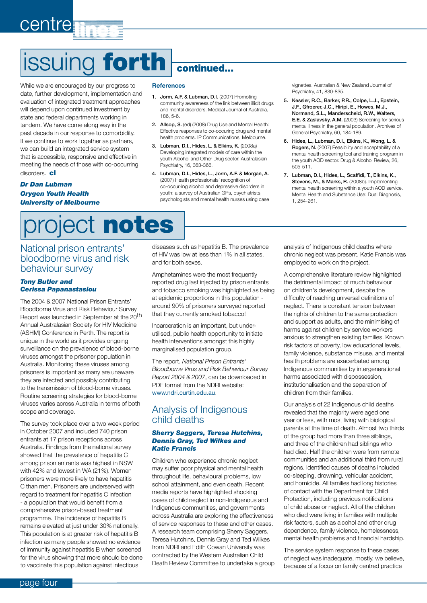

# issuing forth **continued...**

While we are encouraged by our progress to date, further development, implementation and evaluation of integrated treatment approaches will depend upon continued investment by state and federal departments working in tandem. We have come along way in the past decade in our response to comorbidity. If we continue to work together as partners, we can build an integrated service system that is accessible, responsive and effective in meeting the needs of those with co-occurring disorders. cl

### *Dr Dan Lubman Orygen Youth Health University of Melbourne*

### **References**

- 1. Jorm, A.F. & Lubman, D.I. (2007) Promoting community awareness of the link between illicit drugs and mental disorders. Medical Journal of Australia, 186, 5-6.
- 2. Allsop, S. (ed) (2008) Drug Use and Mental Health: Effective responses to co-occuring drug and mental health problems. IP Communications, Melbourne.
- 3. Lubman, D.I., Hides, L. & Elkins, K. (2008a) Developing integrated models of care within the youth Alcohol and Other Drug sector. Australasian Psychiatry, 16, 363-366.
- 4. Lubman, D.I., Hides, L., Jorm, A.F. & Morgan, A. (2007) Health professionals' recognition of co-occurring alcohol and depressive disorders in youth: a survey of Australian GPs, psychiatrists, psychologists and mental health nurses using case

vignettes. Australian & New Zealand Journal of Psychiatry, 41, 830-835.

- 5. Kessler, R.C., Barker, P.R., Colpe, L.J., Epstein, J.F., Gfroerer, J.C., Hiripi, E., Howes, M.J., Normand, S.L., Manderscheid, R.W., Walters, E.E. & Zaslavsky, A.M. (2003) Screening for serious mental illness in the general population. Archives of General Psychiatry, 60, 184-189.
- 6. Hides, L., Lubman, D.I., Elkins, K., Wong, L. & Rogers, N. (2007) Feasibility and acceptability of a mental health screening tool and training program in the youth AOD sector. Drug & Alcohol Review, 26, 505-511.
- 7. Lubman, D.I., Hides, L., Scaffidi, T., Elkins, K., Stevens, M., & Marks, R. (2008b). Implementing mental health screening within a youth AOD service. Mental Health and Substance Use: Dual Diagnosis, 1, 254-261.

### National prison entrants' bloodborne virus and risk behaviour survey

project notes

#### *Tony Butler and Cerissa Papanastasiou*

The 2004 & 2007 National Prison Entrants' Bloodborne Virus and Risk Behaviour Survey Report was launched in September at the 20th Annual Australasian Society for HIV Medicine (ASHM) Conference in Perth. The report is unique in the world as it provides ongoing surveillance on the prevalence of blood-borne viruses amongst the prisoner population in Australia. Monitoring these viruses among prisoners is important as many are unaware they are infected and possibly contributing to the transmission of blood-borne viruses. Routine screening strategies for blood-borne viruses varies across Australia in terms of both scope and coverage.

The survey took place over a two week period in October 2007 and included 740 prison entrants at 17 prison receptions across Australia. Findings from the national survey showed that the prevalence of hepatitis C among prison entrants was highest in NSW with 42% and lowest in WA (21%). Women prisoners were more likely to have hepatitis C than men. Prisoners are underserved with regard to treatment for hepatitis C infection - a population that would benefit from a comprehensive prison-based treatment programme. The incidence of hepatitis B remains elevated at just under 30% nationally. This population is at greater risk of hepatitis B

infection as many people showed no evidence of immunity against hepatitis B when screened for the virus showing that more should be done to vaccinate this population against infectious

diseases such as hepatitis B. The prevalence of HIV was low at less than 1% in all states, and for both sexes.

Amphetamines were the most frequently reported drug last injected by prison entrants and tobacco smoking was highlighted as being at epidemic proportions in this population around 90% of prisoners surveyed reported that they currently smoked tobacco!

Incarceration is an important, but underutilised, public health opportunity to initiate health interventions amongst this highly marginalised population group.

The report, *National Prison Entrants' Bloodborne Virus and Risk Behaviour Survey Report 2004 & 2007*, can be downloaded in PDF format from the NDRI website: www.ndri.curtin.edu.au.

### Analysis of Indigenous child deaths

#### *Sherry Saggers, Teresa Hutchins, Dennis Gray, Ted Wilkes and Katie Francis*

Children who experience chronic neglect may suffer poor physical and mental health throughout life, behavioural problems, low school attainment, and even death. Recent media reports have highlighted shocking cases of child neglect in non-Indigenous and Indigenous communities, and governments across Australia are exploring the effectiveness of service responses to these and other cases. A research team comprising Sherry Saggers, Teresa Hutchins, Dennis Gray and Ted Wilkes from NDRI and Edith Cowan University was contracted by the Western Australian Child Death Review Committee to undertake a group analysis of Indigenous child deaths where chronic neglect was present. Katie Francis was employed to work on the project.

A comprehensive literature review highlighted the detrimental impact of much behaviour on children's development, despite the difficulty of reaching universal definitions of neglect. There is constant tension between the rights of children to the same protection and support as adults, and the minimising of harms against children by service workers anxious to strengthen existing families. Known risk factors of poverty, low educational levels, family violence, substance misuse, and mental health problems are exacerbated among Indigenous communities by intergenerational harms associated with dispossession, institutionalisation and the separation of children from their families.

Our analysis of 22 Indigenous child deaths revealed that the majority were aged one year or less, with most living with biological parents at the time of death. Almost two thirds of the group had more than three siblings, and three of the children had siblings who had died. Half the children were from remote communities and an additional third from rural regions. Identified causes of deaths included co-sleeping, drowning, vehicular accident, and homicide. All families had long histories of contact with the Department for Child Protection, including previous notifications of child abuse or neglect. All of the children who died were living in families with multiple risk factors, such as alcohol and other drug dependence, family violence, homelessness, mental health problems and financial hardship.

The service system response to these cases of neglect was inadequate, mostly, we believe, because of a focus on family centred practice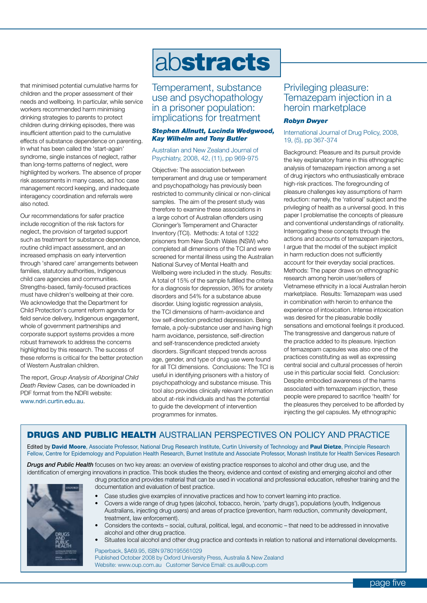#### that minimised potential cumulative harms for children and the proper assessment of their needs and wellbeing. In particular, while service workers recommended harm minimising drinking strategies to parents to protect children during drinking episodes, there was insufficient attention paid to the cumulative effects of substance dependence on parenting. In what has been called the 'start-again' syndrome, single instances of neglect, rather than long-terms patterns of neglect, were highlighted by workers. The absence of proper risk assessments in many cases, ad hoc case management record keeping, and inadequate interagency coordination and referrals were also noted.

Our recommendations for safer practice include recognition of the risk factors for neglect, the provision of targeted support such as treatment for substance dependence, routine child impact assessment, and an increased emphasis on early intervention through 'shared care' arrangements between families, statutory authorities, Indigenous child care agencies and communities. Strengths-based, family-focused practices must have children's wellbeing at their core. We acknowledge that the Department for Child Protection's current reform agenda for field service delivery, Indigenous engagement, whole of government partnerships and corporate support systems provides a more robust framework to address the concerns highlighted by this research. The success of these reforms is critical for the better protection of Western Australian children.

The report, *Group Analysis of Aboriginal Child Death Review Cases,* can be downloaded in PDF format from the NDRI website: www.ndri.curtin.edu.au.

# abstracts

Temperament, substance use and psychopathology in a prisoner population: implications for treatment

### *Stephen Allnutt, Lucinda Wedgwood, Kay Wilhelm and Tony Butler*

### Australian and New Zealand Journal of Psychiatry, 2008, 42, (11), pp 969-975

Objective: The association between temperament and drug use or temperament and psychopathology has previously been restricted to community clinical or non-clinical samples. The aim of the present study was therefore to examine these associations in a large cohort of Australian offenders using Cloninger's Temperament and Character Inventory (TCI). Methods: A total of 1322 prisoners from New South Wales (NSW) who completed all dimensions of the TCI and were screened for mental illness using the Australian National Survey of Mental Health and Wellbeing were included in the study. Results: A total of 15% of the sample fulfilled the criteria for a diagnosis for depression, 36% for anxiety disorders and 54% for a substance abuse disorder. Using logistic regression analysis, the TCI dimensions of harm-avoidance and low self-direction predicted depression. Being female, a poly-substance user and having high harm avoidance, persistence, self-direction and self-transcendence predicted anxiety disorders. Significant stepped trends across age, gender, and type of drug use were found for all TCI dimensions. Conclusions: The TCI is useful in identifying prisoners with a history of psychopathology and substance misuse. This tool also provides clinically relevant information about at-risk individuals and has the potential to guide the development of intervention programmes for inmates.

### Privileging pleasure: Temazepam injection in a heroin marketplace

#### *Robyn Dwyer*

#### International Journal of Drug Policy, 2008, 19, (5), pp 367-374

Background: Pleasure and its pursuit provide the key explanatory frame in this ethnographic analysis of temazepam injection among a set of drug injectors who enthusiastically embrace high-risk practices. The foregrounding of pleasure challenges key assumptions of harm reduction: namely, the 'rational' subject and the privileging of health as a universal good. In this paper I problematise the concepts of pleasure and conventional understandings of rationality. Interrogating these concepts through the actions and accounts of temazepam injectors, I argue that the model of the subject implicit in harm reduction does not sufficiently account for their everyday social practices. Methods: The paper draws on ethnographic research among heroin user/sellers of Vietnamese ethnicity in a local Australian heroin marketplace. Results: Temazepam was used in combination with heroin to enhance the experience of intoxication. Intense intoxication was desired for the pleasurable bodily sensations and emotional feelings it produced. The transgressive and dangerous nature of the practice added to its pleasure. Injection of temazepam capsules was also one of the practices constituting as well as expressing central social and cultural processes of heroin use in this particular social field. Conclusion: Despite embodied awareness of the harms associated with temazepam injection, these people were prepared to sacrifice 'health' for the pleasures they perceived to be afforded by injecting the gel capsules. My ethnographic

### DRUGS AND PUBLIC HEALTH Australian Perspectives on Policy and Practice

Edited by David Moore, Associate Professor, National Drug Research Institute, Curtin University of Technology and Paul Dietze, Principle Research Fellow, Centre for Epidemology and Population Health Research, Burnet Institute and Associate Professor, Monash Institute for Health Services Research

*Drugs and Public Health* focuses on two key areas: an overview of existing practice responses to alcohol and other drug use, and the



- identification of emerging innovations in practice. This book studies the theory, evidence and context of existing and emerging alcohol and other drug practice and provides material that can be used in vocational and professional education, refresher training and the documentation and evaluation of best practice.
	- Case studies give examples of innovative practices and how to convert learning into practice.
	- Covers a wide range of drug types (alcohol, tobacco, heroin, 'party drugs'), populations (youth, Indigenous Australians, injecting drug users) and areas of practice (prevention, harm reduction, community development, treatment, law enforcement).
	- Considers the contexts social, cultural, political, legal, and economic that need to be addressed in innovative alcohol and other drug practice.
	- Situates local alcohol and other drug practice and contexts in relation to national and international developments.

Paperback, \$A69.95, ISBN 9780195561029 Published October 2008 by Oxford University Press, Australia & New Zealand Website: www.oup.com.au Customer Service Email: cs.au@oup.com

page five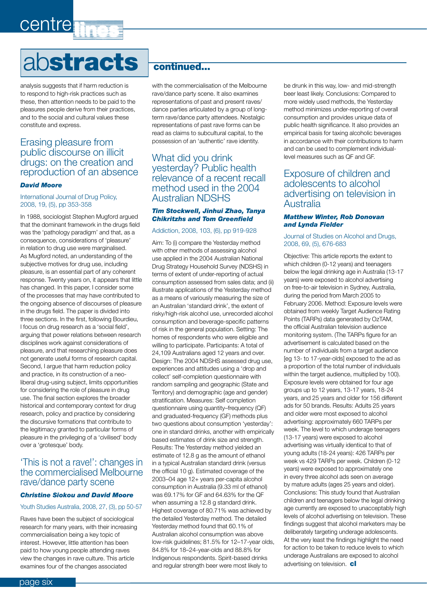# centre

# abstracts

analysis suggests that if harm reduction is to respond to high-risk practices such as these, then attention needs to be paid to the pleasures people derive from their practices, and to the social and cultural values these constitute and express.

### Erasing pleasure from public discourse on illicit drugs: on the creation and reproduction of an absence

### *David Moore*

#### International Journal of Drug Policy, 2008, 19, (5), pp 353-358

In 1988, sociologist Stephen Mugford argued that the dominant framework in the drugs field was the 'pathology paradigm' and that, as a consequence, considerations of 'pleasure' in relation to drug use were marginalised. As Mugford noted, an understanding of the subjective motives for drug use, including pleasure, is an essential part of any coherent response. Twenty years on, it appears that little has changed. In this paper, I consider some of the processes that may have contributed to the ongoing absence of discourses of pleasure in the drugs field. The paper is divided into three sections. In the first, following Bourdieu, I focus on drug research as a 'social field', arguing that power relations between research disciplines work against considerations of pleasure, and that researching pleasure does not generate useful forms of research capital. Second, I argue that harm reduction policy and practice, in its construction of a neoliberal drug-using subject, limits opportunities for considering the role of pleasure in drug use. The final section explores the broader historical and contemporary context for drug research, policy and practice by considering the discursive formations that contribute to the legitimacy granted to particular forms of pleasure in the privileging of a 'civilised' body over a 'grotesque' body.

### 'This is not a rave!': changes in the commercialised Melbourne rave/dance party scene

### *Christine Siokou and David Moore*

### Youth Studies Australia, 2008, 27, (3), pp 50-57

Raves have been the subject of sociological research for many years, with their increasing commercialisation being a key topic of interest. However, little attention has been paid to how young people attending raves view the changes in rave culture. This article examines four of the changes associated

### continued...

with the commercialisation of the Melbourne rave/dance party scene. It also examines representations of past and present raves/ dance parties articulated by a group of longterm rave/dance party attendees. Nostalgic representations of past rave forms can be read as claims to subcultural capital, to the possession of an 'authentic' rave identity.

### What did you drink yesterday? Public health relevance of a recent recall method used in the 2004 Australian NDSHS

### *Tim Stockwell, Jinhui Zhao, Tanya Chikritzhs and Tom Greenfield*

### Addiction, 2008, 103, (6), pp 919-928

Aim: To (i) compare the Yesterday method with other methods of assessing alcohol use applied in the 2004 Australian National Drug Strategy Household Survey (NDSHS) in terms of extent of under-reporting of actual consumption assessed from sales data; and (ii) illustrate applications of the Yesterday method as a means of variously measuring the size of an Australian 'standard drink', the extent of risky/high-risk alcohol use, unrecorded alcohol consumption and beverage-specific patterns of risk in the general population. Setting: The homes of respondents who were eligible and willing to participate. Participants: A total of 24,109 Australians aged 12 years and over. Design: The 2004 NDSHS assessed drug use, experiences and attitudes using a 'drop and collect' self-completion questionnaire with random sampling and geographic (State and Territory) and demographic (age and gender) stratification. Measures: Self completion questionnaire using quantity–frequency (QF) and graduated-frequency (GF) methods plus two questions about consumption 'yesterday': one in standard drinks, another with empirically based estimates of drink size and strength. Results: The Yesterday method yielded an estimate of 12.8 g as the amount of ethanol in a typical Australian standard drink (versus the official 10 g). Estimated coverage of the 2003–04 age 12+ years per-capita alcohol consumption in Australia (9.33 ml of ethanol) was 69.17% for GF and 64.63% for the QF when assuming a 12.8 g standard drink. Highest coverage of 80.71% was achieved by the detailed Yesterday method. The detailed Yesterday method found that 60.1% of Australian alcohol consumption was above low-risk guidelines; 81.5% for 12–17-year olds, 84.8% for 18–24-year-olds and 88.8% for Indigenous respondents. Spirit-based drinks and regular strength beer were most likely to

be drunk in this way, low- and mid-strength beer least likely. Conclusions: Compared to more widely used methods, the Yesterday method minimizes under-reporting of overall consumption and provides unique data of public health significance. It also provides an empirical basis for taxing alcoholic beverages in accordance with their contributions to harm and can be used to complement individuallevel measures such as QF and GF.

### Exposure of children and adolescents to alcohol advertising on television in **Australia**

### *Matthew Winter, Rob Donovan and Lynda Fielder*

#### Journal of Studies on Alcohol and Drugs, 2008, 69, (5), 676-683

Objective: This article reports the extent to which children (0-12 years) and teenagers below the legal drinking age in Australia (13-17 years) were exposed to alcohol advertising on free-to-air television in Sydney, Australia, during the period from March 2005 to February 2006. Method: Exposure levels were obtained from weekly Target Audience Rating Points (TARPs) data generated by OzTAM, the official Australian television audience monitoring system. (The TARPs figure for an advertisement is calculated based on the number of individuals from a target audience [eg 13- to 17-year-olds] exposed to the ad as a proportion of the total number of individuals within the target audience, multiplied by 100). Exposure levels were obtained for four age groups up to 12 years, 13-17 years, 18-24 years, and 25 years and older for 156 different ads for 50 brands. Results: Adults 25 years and older were most exposed to alcohol advertising: approximately 660 TARPs per week. The level to which underage teenagers (13-17 years) were exposed to alcohol advertising was virtually identical to that of young adults (18-24 years): 426 TARPs per week vs 429 TARPs per week. Children (0-12 years) were exposed to approximately one in every three alcohol ads seen on average by mature adults (ages 25 years and older). Conclusions: This study found that Australian children and teenagers below the legal drinking age currently are exposed to unacceptably high levels of alcohol advertising on television. These findings suggest that alcohol marketers may be deliberately targeting underage adolescents. At the very least the findings highlight the need for action to be taken to reduce levels to which underage Australians are exposed to alcohol advertising on television. cl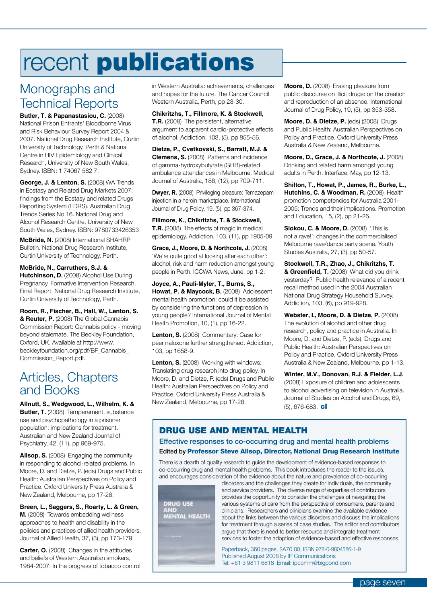# recent **publications**

### Monographs and Technical Reports

**Butler, T. & Papanastasiou, C.** (2008) National Prison Entrants' Bloodborne Virus and Risk Behaviour Survey Report 2004 & 2007. National Drug Research Institute, Curtin University of Technology, Perth & National Centre in HIV Epidemiology and Clinical Research, University of New South Wales, Sydney. ISBN: 1 74067 582 7.

George, J. & Lenton, S. (2008) WA Trends in Ecstasy and Related Drug Markets 2007: findings from the Ecstasy and related Drugs Reporting System (EDRS). Australian Drug Trends Series No 16. National Drug and Alcohol Research Centre, University of New South Wales, Sydney. ISBN: 9780733426353

**McBride, N.** (2008) International SHAHRP Bulletin. National Drug Research Institute, Curtin University of Technology, Perth.

**McBride, N., Carruthers, S.J. & Hutchinson, D.** (2008) Alcohol Use During Pregnancy. Formative Intervention Research. Final Report. National Drug Research Institute, Curtin University of Technology, Perth.

**Room, R., Fischer, B., Hall, W., Lenton, S. & Reuter, P.** (2008) The Global Cannabis Commission Report: Cannabis policy - moving beyond stalemate. The Beckley Foundation, Oxford, UK. Available at http://www. beckleyfoundation.org/pdf/BF\_Cannabis\_ Commission\_Report.pdf.

### Articles, Chapters and Books

**Allnutt, S., Wedgwood, L., Wilhelm, K. & Butler, T.** (2008) Temperament, substance use and psychopathology in a prisoner population: implications for treatment. Australian and New Zealand Journal of Psychiatry, 42, (11), pp 969-975.

**Allsop, S.** (2008) Engaging the community in responding to alcohol-related problems. In Moore, D. and Dietze, P. (eds) Drugs and Public Health: Australian Perspectives on Policy and Practice. Oxford University Press Australia & New Zealand, Melbourne, pp 17-28.

**Breen, L., Saggers, S., Roarty, L. & Green, M.** (2008) Towards embedding wellness approaches to health and disability in the policies and practices of allied health providers. Journal of Allied Health, 37, (3), pp 173-179.

**Carter, O.** (2008) Changes in the attitudes and beliefs of Western Australian smokers, 1984-2007. In the progress of tobacco control in Western Australia: achievements, challenges and hopes for the future. The Cancer Council Western Australia, Perth, pp 23-30.

**Chikritzhs, T., Fillmore, K. & Stockwell, T.R.** (2008) The persistent, alternative argument to apparent cardio-protective effects of alcohol. Addiction, 103, (5), pp 855-56.

**Dietze, P., Cvetkovski, S., Barratt, M.J. & Clemens, S.** (2008) Patterns and incidence of gamma-hydroxybutyrate (GHB)-related ambulance attendances in Melbourne. Medical Journal of Australia, 188, (12), pp 709-711.

**Dwyer, R.** (2008) Privileging pleasure: Temazepam injection in a heroin marketplace. International Journal of Drug Policy, 19, (5), pp 367-374.

**Fillmore, K., Chikritzhs, T. & Stockwell, T.R.** (2008) The effects of magic in medical epidemiology. Addiction, 103, (11), pp 1905-09.

**Grace, J., Moore, D. & Northcote, J.** (2008) 'We're quite good at looking after each other': alcohol, risk and harm reduction amongst young people in Perth. ICCWA News, June, pp 1-2.

**Joyce, A., Pauli-Myler, T., Burns, S.,**  Howat, P. & Maycock, B. (2008) Adolescent mental health promotion: could it be assisted by considering the functions of depression in young people? International Journal of Mental Health Promotion, 10, (1), pp 16-22.

**Lenton, S.** (2008) Commentary: Case for peer naloxone further strengthened. Addiction, 103, pp 1658-9.

**Lenton, S.** (2008) Working with windows: Translating drug research into drug policy. In Moore, D. and Dietze, P. (eds) Drugs and Public Health: Australian Perspectives on Policy and Practice. Oxford University Press Australia & New Zealand, Melbourne, pp 17-28.

**Moore, D.** (2008) Erasing pleasure from public discourse on illicit drugs: on the creation and reproduction of an absence. International Journal of Drug Policy, 19, (5), pp 353-358.

**Moore, D. & Dietze, P.** (eds) (2008) Drugs and Public Health: Australian Perspectives on Policy and Practice. Oxford University Press Australia & New Zealand, Melbourne.

**Moore, D., Grace, J. & Northcote, J.** (2008) Drinking and related harm amongst young adults in Perth. Interface, May, pp 12-13.

**Shilton, T., Howat, P., James, R., Burke, L.,**  Hutchins, C. & Woodman, R. (2008) Health promotion competencies for Australia 2001- 2005: Trends and their implications. Promotion and Education, 15, (2), pp 21-26.

**Siokou, C. & Moore, D.** (2008) 'This is not a rave!': changes in the commercialised Melbourne rave/dance party scene. Youth Studies Australia, 27, (3), pp 50-57.

**Stockwell, T.R., Zhao, J., Chikritzhs, T. & Greenfield, T.** (2008) What did you drink yesterday? Public health relevance of a recent recall method used in the 2004 Australian National Drug Strategy Household Survey. Addiction, 103, (6), pp 919-928.

**Webster, I., Moore, D. & Dietze, P.** (2008) The evolution of alcohol and other drug research, policy and practice in Australia. In Moore, D. and Dietze, P. (eds). Drugs and Public Health: Australian Perspectives on Policy and Practice. Oxford University Press Australia & New Zealand, Melbourne, pp 1-13.

**Winter, M.V., Donovan, R.J. & Fielder, L.J.**  (2008) Exposure of children and adolescents to alcohol advertising on television in Australia. Journal of Studies on Alcohol and Drugs, 69,  $(5)$ , 676-683. cl

### DRUG USE AND MENTAL HEALTH

### Effective responses to co-occurring drug and mental health problems Edited by Professor Steve Allsop, Director, National Drug Research Institute

There is a dearth of quality research to guide the development of evidence-based responses to co-occurring drug and mental health problems. This book introduces the reader to the issues, and encourages consideration of the evidence about the nature and prevalence of co-occurring



disorders and the challenges they create for individuals, the community and service providers. The diverse range of expertise of contributors provides the opportunity to consider the challenges of navigating the various systems of care from the perspective of consumers, parents and clinicians. Researchers and clinicians examine the available evidence about the links between the various disorders and discuss the implications for treatment through a series of case studies. The editor and contributors argue that there is need to better resource and integrate treatment services to foster the adoption of evidence-based and effective responses.

Paperback, 360 pages, \$A70.00, ISBN 978-0-9804586-1-9 Published August 2008 by IP Communications Tel: +61 3 9811 6818 Email: ipcomm@bigpond.com